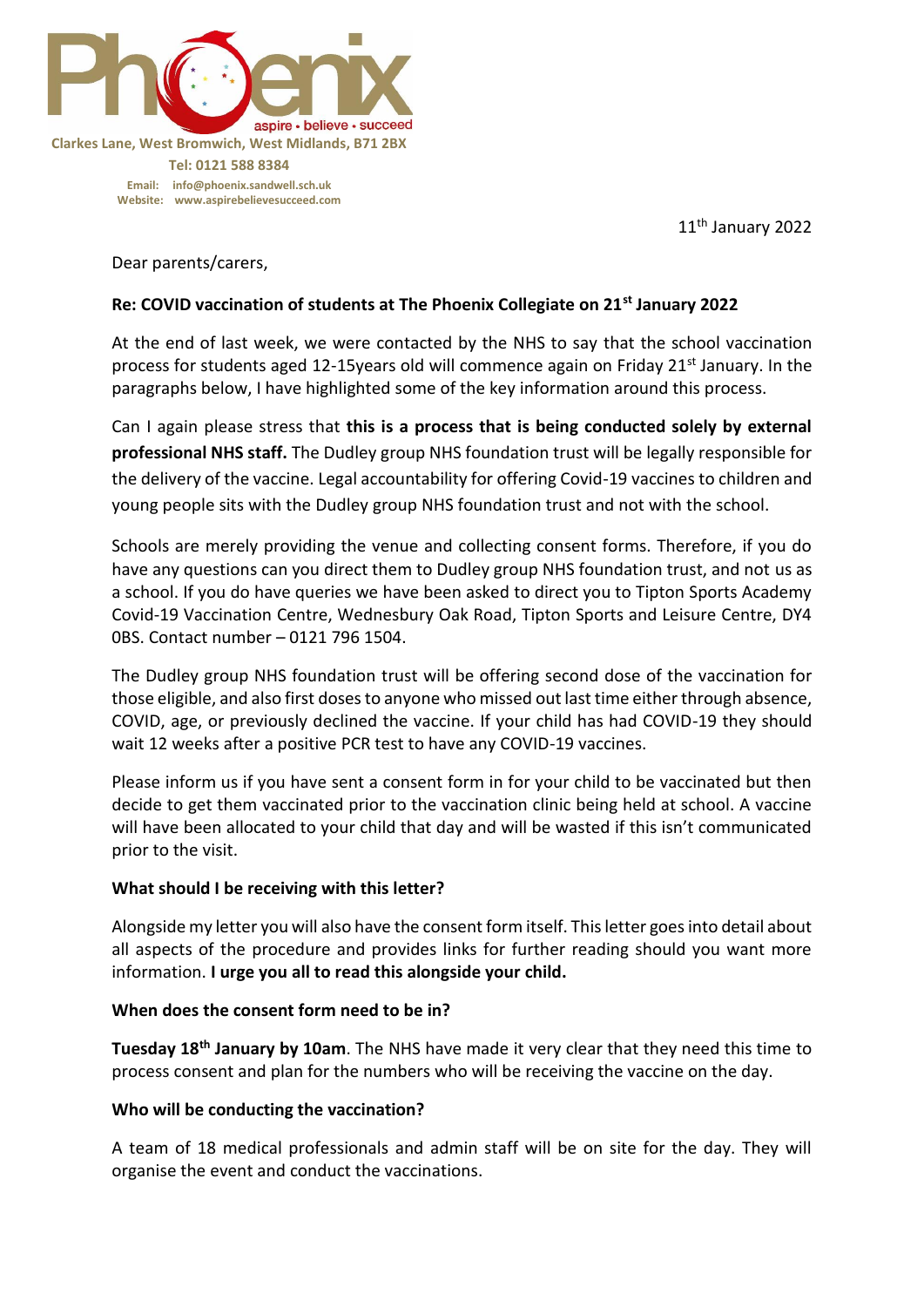

11th January 2022

Dear parents/carers,

### **Re: COVID vaccination of students at The Phoenix Collegiate on 21st January 2022**

At the end of last week, we were contacted by the NHS to say that the school vaccination process for students aged 12-15years old will commence again on Friday 21<sup>st</sup> January. In the paragraphs below, I have highlighted some of the key information around this process.

Can I again please stress that **this is a process that is being conducted solely by external professional NHS staff.** The Dudley group NHS foundation trust will be legally responsible for the delivery of the vaccine. Legal accountability for offering Covid-19 vaccines to children and young people sits with the Dudley group NHS foundation trust and not with the school.

Schools are merely providing the venue and collecting consent forms. Therefore, if you do have any questions can you direct them to Dudley group NHS foundation trust, and not us as a school. If you do have queries we have been asked to direct you to Tipton Sports Academy Covid-19 Vaccination Centre, Wednesbury Oak Road, Tipton Sports and Leisure Centre, DY4 0BS. Contact number – 0121 796 1504.

The Dudley group NHS foundation trust will be offering second dose of the vaccination for those eligible, and also first doses to anyone who missed out last time either through absence, COVID, age, or previously declined the vaccine. If your child has had COVID-19 they should wait 12 weeks after a positive PCR test to have any COVID-19 vaccines.

Please inform us if you have sent a consent form in for your child to be vaccinated but then decide to get them vaccinated prior to the vaccination clinic being held at school. A vaccine will have been allocated to your child that day and will be wasted if this isn't communicated prior to the visit.

### **What should I be receiving with this letter?**

Alongside my letter you will also have the consent form itself. This letter goes into detail about all aspects of the procedure and provides links for further reading should you want more information. **I urge you all to read this alongside your child.** 

### **When does the consent form need to be in?**

**Tuesday 18th January by 10am**. The NHS have made it very clear that they need this time to process consent and plan for the numbers who will be receiving the vaccine on the day.

### **Who will be conducting the vaccination?**

A team of 18 medical professionals and admin staff will be on site for the day. They will organise the event and conduct the vaccinations.